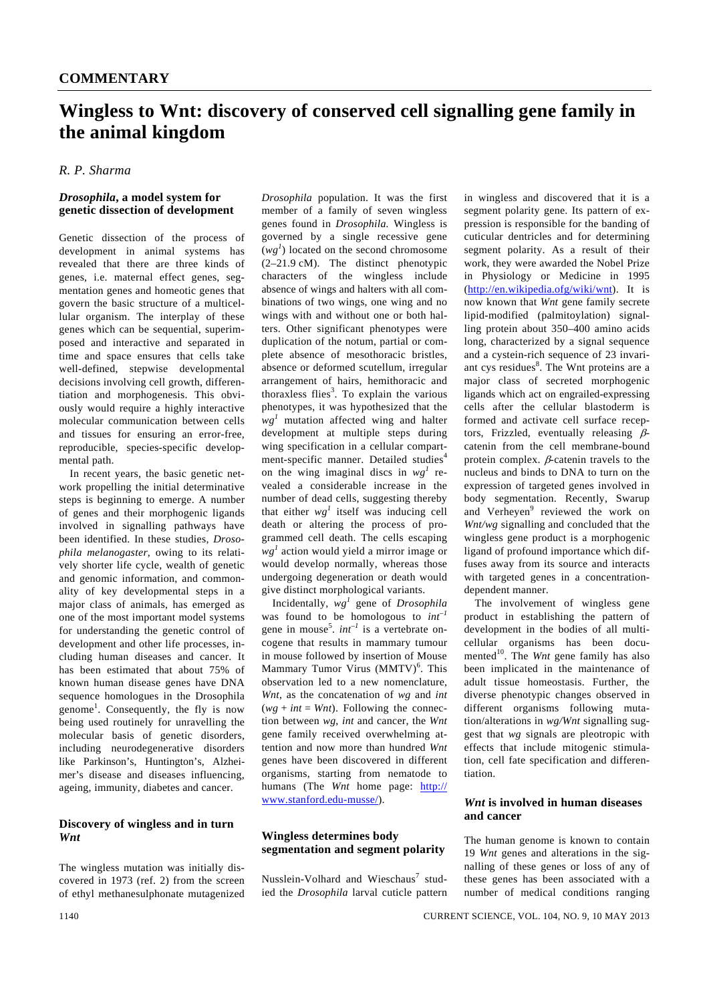# **Wingless to Wnt: discovery of conserved cell signalling gene family in the animal kingdom**

# *R. P. Sharma*

#### *Drosophila***, a model system for genetic dissection of development**

Genetic dissection of the process of development in animal systems has revealed that there are three kinds of genes, i.e. maternal effect genes, segmentation genes and homeotic genes that govern the basic structure of a multicellular organism. The interplay of these genes which can be sequential, superimposed and interactive and separated in time and space ensures that cells take well-defined, stepwise developmental decisions involving cell growth, differentiation and morphogenesis. This obviously would require a highly interactive molecular communication between cells and tissues for ensuring an error-free, reproducible, species-specific developmental path.

 In recent years, the basic genetic network propelling the initial determinative steps is beginning to emerge. A number of genes and their morphogenic ligands involved in signalling pathways have been identified. In these studies, *Drosophila melanogaster*, owing to its relatively shorter life cycle, wealth of genetic and genomic information, and commonality of key developmental steps in a major class of animals, has emerged as one of the most important model systems for understanding the genetic control of development and other life processes, including human diseases and cancer. It has been estimated that about 75% of known human disease genes have DNA sequence homologues in the Drosophila genome<sup>1</sup>. Consequently, the fly is now being used routinely for unravelling the molecular basis of genetic disorders, including neurodegenerative disorders like Parkinson's, Huntington's, Alzheimer's disease and diseases influencing, ageing, immunity, diabetes and cancer.

### **Discovery of wingless and in turn**  *Wnt*

The wingless mutation was initially discovered in 1973 (ref. 2) from the screen of ethyl methanesulphonate mutagenized

*Drosophila* population. It was the first member of a family of seven wingless genes found in *Drosophila.* Wingless is governed by a single recessive gene  $(wg<sup>1</sup>)$  located on the second chromosome (2–21.9 cM). The distinct phenotypic characters of the wingless include absence of wings and halters with all combinations of two wings, one wing and no wings with and without one or both halters. Other significant phenotypes were duplication of the notum, partial or complete absence of mesothoracic bristles, absence or deformed scutellum, irregular arrangement of hairs, hemithoracic and thoraxless flies<sup>3</sup>. To explain the various phenotypes, it was hypothesized that the  $wg<sup>1</sup>$  mutation affected wing and halter development at multiple steps during wing specification in a cellular compartment-specific manner. Detailed studies<sup>4</sup> on the wing imaginal discs in  $wg^{1}$  revealed a considerable increase in the number of dead cells, suggesting thereby that either  $wg<sup>1</sup>$  itself was inducing cell death or altering the process of programmed cell death. The cells escaping *wg<sup>1</sup>* action would yield a mirror image or would develop normally, whereas those undergoing degeneration or death would give distinct morphological variants.

 Incidentally, *wg<sup>1</sup>* gene of *Drosophila* was found to be homologous to *int–1* gene in mouse<sup>5</sup>. *int<sup>-1</sup>* is a vertebrate oncogene that results in mammary tumour in mouse followed by insertion of Mouse Mammary Tumor Virus (MMTV)<sup>6</sup>. This observation led to a new nomenclature, *Wnt*, as the concatenation of *wg* and *int*  $(wg + int = Wnt)$ . Following the connection between *wg*, *int* and cancer, the *Wnt* gene family received overwhelming attention and now more than hundred *Wnt* genes have been discovered in different organisms, starting from nematode to humans (The *Wnt* home page: http:// www.stanford.edu-musse/).

#### **Wingless determines body segmentation and segment polarity**

Nusslein-Volhard and Wieschaus<sup>7</sup> studied the *Drosophila* larval cuticle pattern in wingless and discovered that it is a segment polarity gene. Its pattern of expression is responsible for the banding of cuticular dentricles and for determining segment polarity. As a result of their work, they were awarded the Nobel Prize in Physiology or Medicine in 1995 (http://en.wikipedia.ofg/wiki/wnt). It is now known that *Wnt* gene family secrete lipid-modified (palmitoylation) signalling protein about 350–400 amino acids long, characterized by a signal sequence and a cystein-rich sequence of 23 invariant cys residues<sup>8</sup>. The Wnt proteins are a major class of secreted morphogenic ligands which act on engrailed-expressing cells after the cellular blastoderm is formed and activate cell surface receptors, Frizzled, eventually releasing  $\beta$ catenin from the cell membrane-bound protein complex. β-catenin travels to the nucleus and binds to DNA to turn on the expression of targeted genes involved in body segmentation. Recently, Swarup and Verheyen<sup>9</sup> reviewed the work on *Wnt/wg* signalling and concluded that the wingless gene product is a morphogenic ligand of profound importance which diffuses away from its source and interacts with targeted genes in a concentrationdependent manner.

 The involvement of wingless gene product in establishing the pattern of development in the bodies of all multicellular organisms has been documented<sup>10</sup>. The *Wnt* gene family has also been implicated in the maintenance of adult tissue homeostasis. Further, the diverse phenotypic changes observed in different organisms following mutation/alterations in *wg/Wnt* signalling suggest that *wg* signals are pleotropic with effects that include mitogenic stimulation, cell fate specification and differentiation.

## *Wnt* **is involved in human diseases and cancer**

The human genome is known to contain 19 *Wnt* genes and alterations in the signalling of these genes or loss of any of these genes has been associated with a number of medical conditions ranging